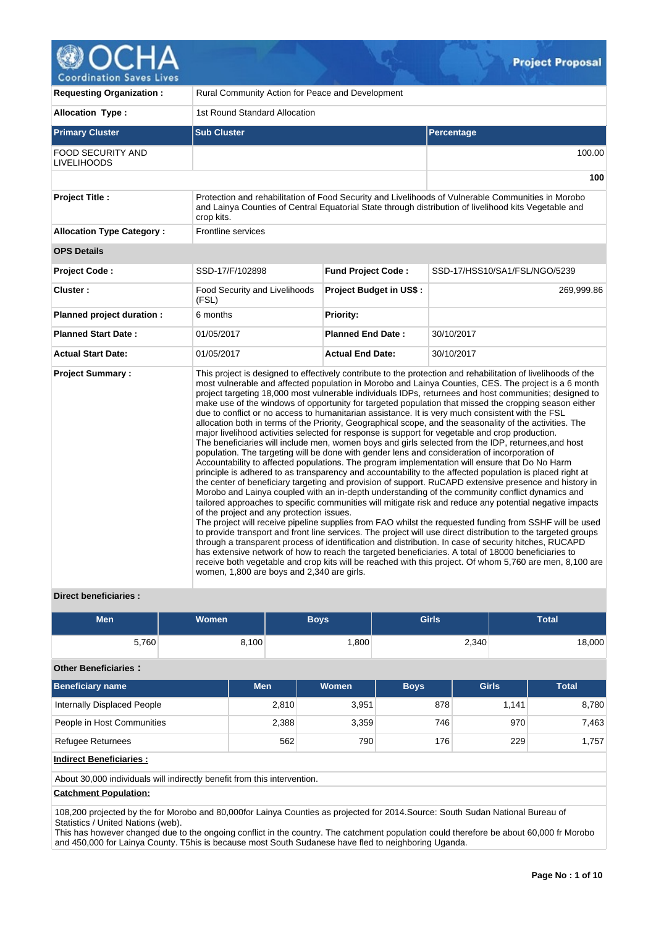

| <b>Requesting Organization:</b>                | Rural Community Action for Peace and Development                                        |                                |                                                                                                                                                                                                                                                                                                                                                                                                                                                                                                                                                                                                                                                                                                                                                                                                                                                                                                                                                                                                                                                                                                                                                                                                                                                                                                                                                                                                                                                                                                                                                                                                                                                                                                                                                                                                                                                                                                                                                                                                                                                                    |  |  |  |  |  |
|------------------------------------------------|-----------------------------------------------------------------------------------------|--------------------------------|--------------------------------------------------------------------------------------------------------------------------------------------------------------------------------------------------------------------------------------------------------------------------------------------------------------------------------------------------------------------------------------------------------------------------------------------------------------------------------------------------------------------------------------------------------------------------------------------------------------------------------------------------------------------------------------------------------------------------------------------------------------------------------------------------------------------------------------------------------------------------------------------------------------------------------------------------------------------------------------------------------------------------------------------------------------------------------------------------------------------------------------------------------------------------------------------------------------------------------------------------------------------------------------------------------------------------------------------------------------------------------------------------------------------------------------------------------------------------------------------------------------------------------------------------------------------------------------------------------------------------------------------------------------------------------------------------------------------------------------------------------------------------------------------------------------------------------------------------------------------------------------------------------------------------------------------------------------------------------------------------------------------------------------------------------------------|--|--|--|--|--|
| <b>Allocation Type:</b>                        | 1st Round Standard Allocation                                                           |                                |                                                                                                                                                                                                                                                                                                                                                                                                                                                                                                                                                                                                                                                                                                                                                                                                                                                                                                                                                                                                                                                                                                                                                                                                                                                                                                                                                                                                                                                                                                                                                                                                                                                                                                                                                                                                                                                                                                                                                                                                                                                                    |  |  |  |  |  |
| <b>Primary Cluster</b>                         | <b>Sub Cluster</b>                                                                      |                                | Percentage                                                                                                                                                                                                                                                                                                                                                                                                                                                                                                                                                                                                                                                                                                                                                                                                                                                                                                                                                                                                                                                                                                                                                                                                                                                                                                                                                                                                                                                                                                                                                                                                                                                                                                                                                                                                                                                                                                                                                                                                                                                         |  |  |  |  |  |
| <b>FOOD SECURITY AND</b><br><b>LIVELIHOODS</b> |                                                                                         |                                | 100.00                                                                                                                                                                                                                                                                                                                                                                                                                                                                                                                                                                                                                                                                                                                                                                                                                                                                                                                                                                                                                                                                                                                                                                                                                                                                                                                                                                                                                                                                                                                                                                                                                                                                                                                                                                                                                                                                                                                                                                                                                                                             |  |  |  |  |  |
|                                                |                                                                                         |                                | 100                                                                                                                                                                                                                                                                                                                                                                                                                                                                                                                                                                                                                                                                                                                                                                                                                                                                                                                                                                                                                                                                                                                                                                                                                                                                                                                                                                                                                                                                                                                                                                                                                                                                                                                                                                                                                                                                                                                                                                                                                                                                |  |  |  |  |  |
| <b>Project Title:</b>                          | crop kits.                                                                              |                                | Protection and rehabilitation of Food Security and Livelihoods of Vulnerable Communities in Morobo<br>and Lainya Counties of Central Equatorial State through distribution of livelihood kits Vegetable and                                                                                                                                                                                                                                                                                                                                                                                                                                                                                                                                                                                                                                                                                                                                                                                                                                                                                                                                                                                                                                                                                                                                                                                                                                                                                                                                                                                                                                                                                                                                                                                                                                                                                                                                                                                                                                                        |  |  |  |  |  |
| <b>Allocation Type Category:</b>               | <b>Frontline services</b>                                                               |                                |                                                                                                                                                                                                                                                                                                                                                                                                                                                                                                                                                                                                                                                                                                                                                                                                                                                                                                                                                                                                                                                                                                                                                                                                                                                                                                                                                                                                                                                                                                                                                                                                                                                                                                                                                                                                                                                                                                                                                                                                                                                                    |  |  |  |  |  |
| <b>OPS Details</b>                             |                                                                                         |                                |                                                                                                                                                                                                                                                                                                                                                                                                                                                                                                                                                                                                                                                                                                                                                                                                                                                                                                                                                                                                                                                                                                                                                                                                                                                                                                                                                                                                                                                                                                                                                                                                                                                                                                                                                                                                                                                                                                                                                                                                                                                                    |  |  |  |  |  |
| <b>Project Code:</b>                           | SSD-17/F/102898                                                                         | <b>Fund Project Code:</b>      | SSD-17/HSS10/SA1/FSL/NGO/5239                                                                                                                                                                                                                                                                                                                                                                                                                                                                                                                                                                                                                                                                                                                                                                                                                                                                                                                                                                                                                                                                                                                                                                                                                                                                                                                                                                                                                                                                                                                                                                                                                                                                                                                                                                                                                                                                                                                                                                                                                                      |  |  |  |  |  |
| Cluster:                                       | <b>Food Security and Livelihoods</b><br>(FSL)                                           | <b>Project Budget in US\$:</b> | 269,999.86                                                                                                                                                                                                                                                                                                                                                                                                                                                                                                                                                                                                                                                                                                                                                                                                                                                                                                                                                                                                                                                                                                                                                                                                                                                                                                                                                                                                                                                                                                                                                                                                                                                                                                                                                                                                                                                                                                                                                                                                                                                         |  |  |  |  |  |
| Planned project duration :                     | 6 months                                                                                | Priority:                      |                                                                                                                                                                                                                                                                                                                                                                                                                                                                                                                                                                                                                                                                                                                                                                                                                                                                                                                                                                                                                                                                                                                                                                                                                                                                                                                                                                                                                                                                                                                                                                                                                                                                                                                                                                                                                                                                                                                                                                                                                                                                    |  |  |  |  |  |
| <b>Planned Start Date:</b>                     | 01/05/2017                                                                              | <b>Planned End Date:</b>       | 30/10/2017                                                                                                                                                                                                                                                                                                                                                                                                                                                                                                                                                                                                                                                                                                                                                                                                                                                                                                                                                                                                                                                                                                                                                                                                                                                                                                                                                                                                                                                                                                                                                                                                                                                                                                                                                                                                                                                                                                                                                                                                                                                         |  |  |  |  |  |
| <b>Actual Start Date:</b>                      | 01/05/2017                                                                              | <b>Actual End Date:</b>        | 30/10/2017                                                                                                                                                                                                                                                                                                                                                                                                                                                                                                                                                                                                                                                                                                                                                                                                                                                                                                                                                                                                                                                                                                                                                                                                                                                                                                                                                                                                                                                                                                                                                                                                                                                                                                                                                                                                                                                                                                                                                                                                                                                         |  |  |  |  |  |
| <b>Project Summary:</b>                        | of the project and any protection issues.<br>women, 1,800 are boys and 2,340 are girls. |                                | This project is designed to effectively contribute to the protection and rehabilitation of livelihoods of the<br>most vulnerable and affected population in Morobo and Lainya Counties, CES. The project is a 6 month<br>project targeting 18,000 most vulnerable individuals IDPs, returnees and host communities; designed to<br>make use of the windows of opportunity for targeted population that missed the cropping season either<br>due to conflict or no access to humanitarian assistance. It is very much consistent with the FSL<br>allocation both in terms of the Priority, Geographical scope, and the seasonality of the activities. The<br>major livelihood activities selected for response is support for vegetable and crop production.<br>The beneficiaries will include men, women boys and girls selected from the IDP, returnees, and host<br>population. The targeting will be done with gender lens and consideration of incorporation of<br>Accountability to affected populations. The program implementation will ensure that Do No Harm<br>principle is adhered to as transparency and accountability to the affected population is placed right at<br>the center of beneficiary targeting and provision of support. RuCAPD extensive presence and history in<br>Morobo and Lainya coupled with an in-depth understanding of the community conflict dynamics and<br>tailored approaches to specific communities will mitigate risk and reduce any potential negative impacts<br>The project will receive pipeline supplies from FAO whilst the requested funding from SSHF will be used<br>to provide transport and front line services. The project will use direct distribution to the targeted groups<br>through a transparent process of identification and distribution. In case of security hitches, RUCAPD<br>has extensive network of how to reach the targeted beneficiaries. A total of 18000 beneficiaries to<br>receive both vegetable and crop kits will be reached with this project. Of whom 5,760 are men, 8,100 are |  |  |  |  |  |

## **Direct beneficiaries :**

| Men   | <b>Women</b> | <b>Boys</b> | <b>Girls</b> | <b>Total</b> |
|-------|--------------|-------------|--------------|--------------|
| 5,760 | 8,100        | ,800        | 2,340        | 18,000       |

### **Other Beneficiaries :**

| <b>Beneficiary name</b>     | <b>Men</b> | Women | <b>Boys</b> | <b>Girls</b> | Total |
|-----------------------------|------------|-------|-------------|--------------|-------|
| Internally Displaced People | 2,810      | 3,951 | 878         | 1.141        | 8,780 |
| People in Host Communities  | 2,388      | 3,359 | 746         | 970          | 7,463 |
| Refugee Returnees           | 562        | 790   | 176         | 229          | 1.757 |

# **Indirect Beneficiaries :**

About 30,000 individuals will indirectly benefit from this intervention.

## **Catchment Population:**

108,200 projected by the for Morobo and 80,000for Lainya Counties as projected for 2014.Source: South Sudan National Bureau of Statistics / United Nations (web).

This has however changed due to the ongoing conflict in the country. The catchment population could therefore be about 60,000 fr Morobo and 450,000 for Lainya County. T5his is because most South Sudanese have fled to neighboring Uganda.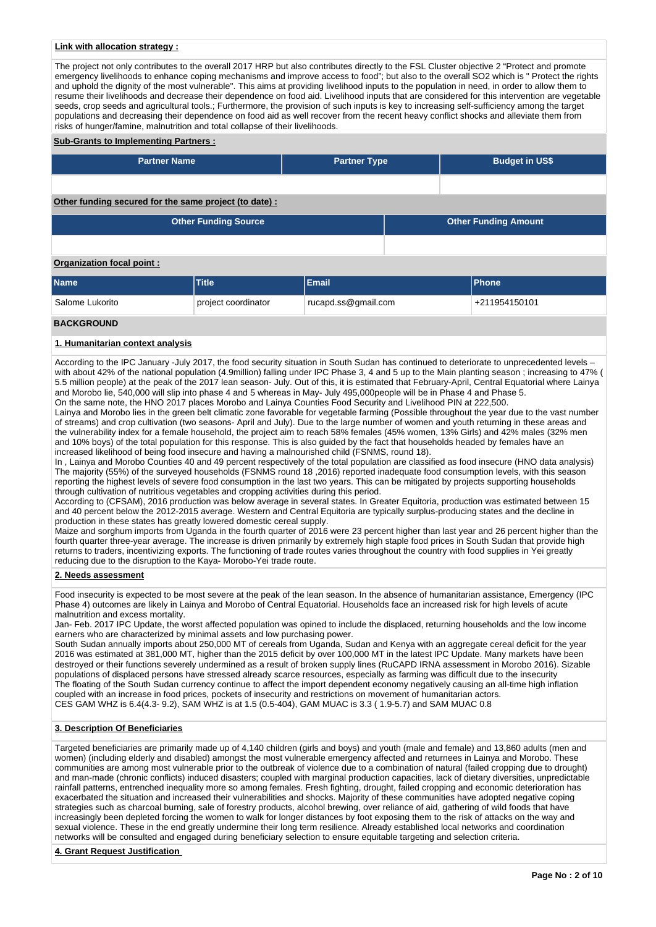### **Link with allocation strategy :**

The project not only contributes to the overall 2017 HRP but also contributes directly to the FSL Cluster objective 2 "Protect and promote emergency livelihoods to enhance coping mechanisms and improve access to food"; but also to the overall SO2 which is " Protect the rights and uphold the dignity of the most vulnerable". This aims at providing livelihood inputs to the population in need, in order to allow them to resume their livelihoods and decrease their dependence on food aid. Livelihood inputs that are considered for this intervention are vegetable seeds, crop seeds and agricultural tools.; Furthermore, the provision of such inputs is key to increasing self-sufficiency among the target populations and decreasing their dependence on food aid as well recover from the recent heavy conflict shocks and alleviate them from risks of hunger/famine, malnutrition and total collapse of their livelihoods.

#### **Sub-Grants to Implementing Partners :**

| <b>Partner Name</b>                                   | <b>Partner Type</b> | <b>Budget in US\$</b> |
|-------------------------------------------------------|---------------------|-----------------------|
|                                                       |                     |                       |
| Other funding secured for the same project (to date): |                     |                       |

**Other Funding Source Other Funding Amount**

## **Organization focal point :**

| <b>Name</b>                  | <b>Title</b>        | Email               | <b>IPhone</b> |  |  |  |  |
|------------------------------|---------------------|---------------------|---------------|--|--|--|--|
| <sup>'</sup> Salome Lukorito | project coordinator | rucapd.ss@gmail.com | +211954150101 |  |  |  |  |
| <b>BACKGROUND</b>            |                     |                     |               |  |  |  |  |

### **1. Humanitarian context analysis**

According to the IPC January -July 2017, the food security situation in South Sudan has continued to deteriorate to unprecedented levels – with about 42% of the national population (4.9million) falling under IPC Phase 3, 4 and 5 up to the Main planting season; increasing to 47% ( 5.5 million people) at the peak of the 2017 lean season- July. Out of this, it is estimated that February-April, Central Equatorial where Lainya and Morobo lie, 540,000 will slip into phase 4 and 5 whereas in May- July 495,000people will be in Phase 4 and Phase 5. On the same note, the HNO 2017 places Morobo and Lainya Counties Food Security and Livelihood PIN at 222,500.

Lainya and Morobo lies in the green belt climatic zone favorable for vegetable farming (Possible throughout the year due to the vast number of streams) and crop cultivation (two seasons- April and July). Due to the large number of women and youth returning in these areas and the vulnerability index for a female household, the project aim to reach 58% females (45% women, 13% Girls) and 42% males (32% men and 10% boys) of the total population for this response. This is also guided by the fact that households headed by females have an increased likelihood of being food insecure and having a malnourished child (FSNMS, round 18).

In, Lainya and Morobo Counties 40 and 49 percent respectively of the total population are classified as food insecure (HNO data analysis) The majority (55%) of the surveyed households (FSNMS round 18 ,2016) reported inadequate food consumption levels, with this season reporting the highest levels of severe food consumption in the last two years. This can be mitigated by projects supporting households through cultivation of nutritious vegetables and cropping activities during this period.

According to (CFSAM), 2016 production was below average in several states. In Greater Equitoria, production was estimated between 15 and 40 percent below the 2012-2015 average. Western and Central Equitoria are typically surplus-producing states and the decline in production in these states has greatly lowered domestic cereal supply.

Maize and sorghum imports from Uganda in the fourth quarter of 2016 were 23 percent higher than last year and 26 percent higher than the fourth quarter three-year average. The increase is driven primarily by extremely high staple food prices in South Sudan that provide high returns to traders, incentivizing exports. The functioning of trade routes varies throughout the country with food supplies in Yei greatly reducing due to the disruption to the Kaya- Morobo-Yei trade route.

#### **2. Needs assessment**

Food insecurity is expected to be most severe at the peak of the lean season. In the absence of humanitarian assistance, Emergency (IPC Phase 4) outcomes are likely in Lainya and Morobo of Central Equatorial. Households face an increased risk for high levels of acute malnutrition and excess mortality.

Jan- Feb. 2017 IPC Update, the worst affected population was opined to include the displaced, returning households and the low income earners who are characterized by minimal assets and low purchasing power.

South Sudan annually imports about 250,000 MT of cereals from Uganda, Sudan and Kenya with an aggregate cereal deficit for the year 2016 was estimated at 381,000 MT, higher than the 2015 deficit by over 100,000 MT in the latest IPC Update. Many markets have been destroyed or their functions severely undermined as a result of broken supply lines (RuCAPD IRNA assessment in Morobo 2016). Sizable populations of displaced persons have stressed already scarce resources, especially as farming was difficult due to the insecurity The floating of the South Sudan currency continue to affect the import dependent economy negatively causing an all-time high inflation coupled with an increase in food prices, pockets of insecurity and restrictions on movement of humanitarian actors. CES GAM WHZ is 6.4(4.3- 9.2), SAM WHZ is at 1.5 (0.5-404), GAM MUAC is 3.3 ( 1.9-5.7) and SAM MUAC 0.8

### **3. Description Of Beneficiaries**

Targeted beneficiaries are primarily made up of 4,140 children (girls and boys) and youth (male and female) and 13,860 adults (men and women) (including elderly and disabled) amongst the most vulnerable emergency affected and returnees in Lainya and Morobo. These communities are among most vulnerable prior to the outbreak of violence due to a combination of natural (failed cropping due to drought) and man-made (chronic conflicts) induced disasters; coupled with marginal production capacities, lack of dietary diversities, unpredictable rainfall patterns, entrenched inequality more so among females. Fresh fighting, drought, failed cropping and economic deterioration has exacerbated the situation and increased their vulnerabilities and shocks. Majority of these communities have adopted negative coping strategies such as charcoal burning, sale of forestry products, alcohol brewing, over reliance of aid, gathering of wild foods that have increasingly been depleted forcing the women to walk for longer distances by foot exposing them to the risk of attacks on the way and sexual violence. These in the end greatly undermine their long term resilience. Already established local networks and coordination networks will be consulted and engaged during beneficiary selection to ensure equitable targeting and selection criteria.

#### **4. Grant Request Justification**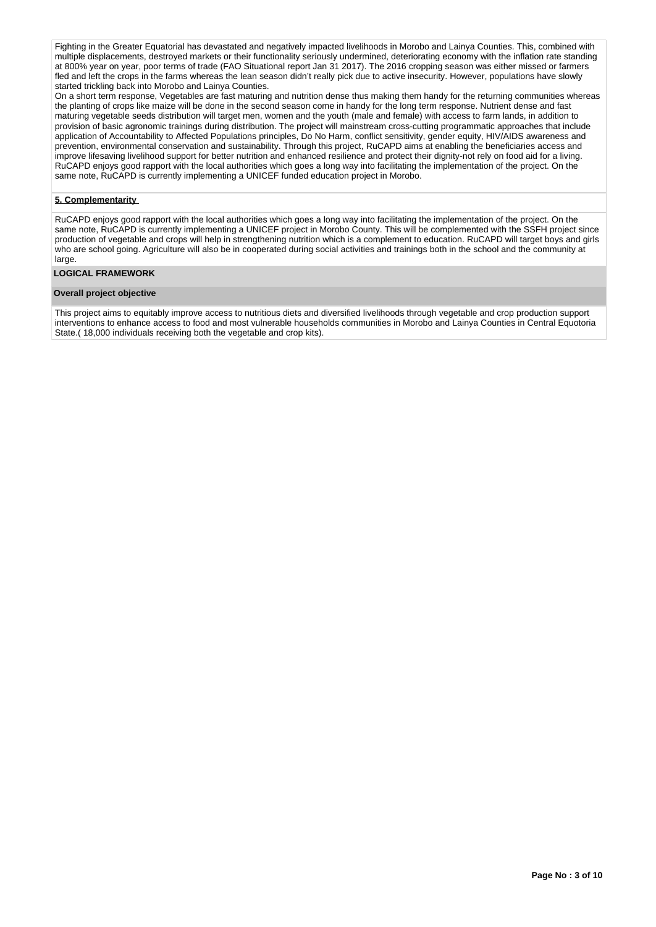Fighting in the Greater Equatorial has devastated and negatively impacted livelihoods in Morobo and Lainya Counties. This, combined with multiple displacements, destroyed markets or their functionality seriously undermined, deteriorating economy with the inflation rate standing at 800% year on year, poor terms of trade (FAO Situational report Jan 31 2017). The 2016 cropping season was either missed or farmers fled and left the crops in the farms whereas the lean season didn't really pick due to active insecurity. However, populations have slowly started trickling back into Morobo and Lainya Counties.

On a short term response, Vegetables are fast maturing and nutrition dense thus making them handy for the returning communities whereas the planting of crops like maize will be done in the second season come in handy for the long term response. Nutrient dense and fast maturing vegetable seeds distribution will target men, women and the youth (male and female) with access to farm lands, in addition to provision of basic agronomic trainings during distribution. The project will mainstream cross-cutting programmatic approaches that include application of Accountability to Affected Populations principles, Do No Harm, conflict sensitivity, gender equity, HIV/AIDS awareness and prevention, environmental conservation and sustainability. Through this project, RuCAPD aims at enabling the beneficiaries access and improve lifesaving livelihood support for better nutrition and enhanced resilience and protect their dignity-not rely on food aid for a living. RuCAPD enjoys good rapport with the local authorities which goes a long way into facilitating the implementation of the project. On the same note, RuCAPD is currently implementing a UNICEF funded education project in Morobo.

### **5. Complementarity**

RuCAPD enjoys good rapport with the local authorities which goes a long way into facilitating the implementation of the project. On the same note, RuCAPD is currently implementing a UNICEF project in Morobo County. This will be complemented with the SSFH project since production of vegetable and crops will help in strengthening nutrition which is a complement to education. RuCAPD will target boys and girls who are school going. Agriculture will also be in cooperated during social activities and trainings both in the school and the community at large

### **LOGICAL FRAMEWORK**

## **Overall project objective**

This project aims to equitably improve access to nutritious diets and diversified livelihoods through vegetable and crop production support interventions to enhance access to food and most vulnerable households communities in Morobo and Lainya Counties in Central Equotoria State.( 18,000 individuals receiving both the vegetable and crop kits).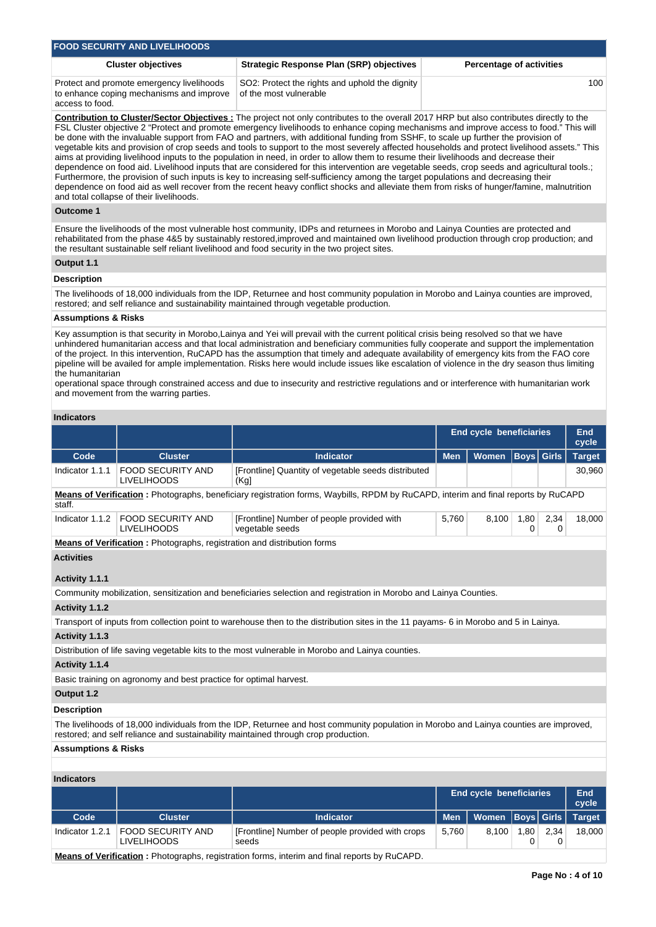| <b>FOOD SECURITY AND LIVELIHOODS</b>                                                                     |                                                                          |                                 |  |  |  |  |  |  |  |  |
|----------------------------------------------------------------------------------------------------------|--------------------------------------------------------------------------|---------------------------------|--|--|--|--|--|--|--|--|
| <b>Cluster objectives</b>                                                                                | <b>Strategic Response Plan (SRP) objectives</b>                          | <b>Percentage of activities</b> |  |  |  |  |  |  |  |  |
| Protect and promote emergency livelihoods<br>to enhance coping mechanisms and improve<br>access to food. | SO2: Protect the rights and uphold the dignity<br>of the most vulnerable | 100                             |  |  |  |  |  |  |  |  |

**Contribution to Cluster/Sector Objectives :** The project not only contributes to the overall 2017 HRP but also contributes directly to the FSL Cluster objective 2 "Protect and promote emergency livelihoods to enhance coping mechanisms and improve access to food." This will be done with the invaluable support from FAO and partners, with additional funding from SSHF, to scale up further the provision of vegetable kits and provision of crop seeds and tools to support to the most severely affected households and protect livelihood assets." This aims at providing livelihood inputs to the population in need, in order to allow them to resume their livelihoods and decrease their dependence on food aid. Livelihood inputs that are considered for this intervention are vegetable seeds, crop seeds and agricultural tools.; Furthermore, the provision of such inputs is key to increasing self-sufficiency among the target populations and decreasing their dependence on food aid as well recover from the recent heavy conflict shocks and alleviate them from risks of hunger/famine, malnutrition and total collapse of their livelihoods.

## **Outcome 1**

Ensure the livelihoods of the most vulnerable host community, IDPs and returnees in Morobo and Lainya Counties are protected and rehabilitated from the phase 4&5 by sustainably restored,improved and maintained own livelihood production through crop production; and the resultant sustainable self reliant livelihood and food security in the two project sites.

### **Output 1.1**

## **Description**

The livelihoods of 18,000 individuals from the IDP, Returnee and host community population in Morobo and Lainya counties are improved, restored; and self reliance and sustainability maintained through vegetable production.

#### **Assumptions & Risks**

Key assumption is that security in Morobo,Lainya and Yei will prevail with the current political crisis being resolved so that we have unhindered humanitarian access and that local administration and beneficiary communities fully cooperate and support the implementation of the project. In this intervention, RuCAPD has the assumption that timely and adequate availability of emergency kits from the FAO core pipeline will be availed for ample implementation. Risks here would include issues like escalation of violence in the dry season thus limiting the humanitarian

operational space through constrained access and due to insecurity and restrictive regulations and or interference with humanitarian work and movement from the warring parties.

## **Indicators**

|                                |                                                                                |                                                                                                                                                                                                                              | <b>End cycle beneficiaries</b> |                                |             |              | End<br>cycle  |  |  |
|--------------------------------|--------------------------------------------------------------------------------|------------------------------------------------------------------------------------------------------------------------------------------------------------------------------------------------------------------------------|--------------------------------|--------------------------------|-------------|--------------|---------------|--|--|
| Code                           | <b>Cluster</b>                                                                 | <b>Indicator</b>                                                                                                                                                                                                             | <b>Men</b>                     | <b>Women</b>                   | <b>Boys</b> | <b>Girls</b> | <b>Target</b> |  |  |
| Indicator 1.1.1                | <b>FOOD SECURITY AND</b><br><b>LIVELIHOODS</b>                                 | [Frontline] Quantity of vegetable seeds distributed<br>(Kg)                                                                                                                                                                  |                                |                                |             |              | 30,960        |  |  |
| staff.                         |                                                                                | Means of Verification: Photographs, beneficiary registration forms, Waybills, RPDM by RuCAPD, interim and final reports by RuCAPD                                                                                            |                                |                                |             |              |               |  |  |
| Indicator 1.1.2                | <b>FOOD SECURITY AND</b><br><b>LIVELIHOODS</b>                                 | [Frontline] Number of people provided with<br>vegetable seeds                                                                                                                                                                | 5,760                          | 8,100                          | 1,80<br>0   | 2,34<br>0    | 18,000        |  |  |
|                                | <b>Means of Verification:</b> Photographs, registration and distribution forms |                                                                                                                                                                                                                              |                                |                                |             |              |               |  |  |
| <b>Activities</b>              |                                                                                |                                                                                                                                                                                                                              |                                |                                |             |              |               |  |  |
| Activity 1.1.1                 |                                                                                |                                                                                                                                                                                                                              |                                |                                |             |              |               |  |  |
|                                |                                                                                | Community mobilization, sensitization and beneficiaries selection and registration in Morobo and Lainya Counties.                                                                                                            |                                |                                |             |              |               |  |  |
| Activity 1.1.2                 |                                                                                |                                                                                                                                                                                                                              |                                |                                |             |              |               |  |  |
|                                |                                                                                | Transport of inputs from collection point to warehouse then to the distribution sites in the 11 payams- 6 in Morobo and 5 in Lainya.                                                                                         |                                |                                |             |              |               |  |  |
| Activity 1.1.3                 |                                                                                |                                                                                                                                                                                                                              |                                |                                |             |              |               |  |  |
|                                |                                                                                | Distribution of life saving vegetable kits to the most vulnerable in Morobo and Lainya counties.                                                                                                                             |                                |                                |             |              |               |  |  |
| Activity 1.1.4                 |                                                                                |                                                                                                                                                                                                                              |                                |                                |             |              |               |  |  |
|                                | Basic training on agronomy and best practice for optimal harvest.              |                                                                                                                                                                                                                              |                                |                                |             |              |               |  |  |
| Output 1.2                     |                                                                                |                                                                                                                                                                                                                              |                                |                                |             |              |               |  |  |
| <b>Description</b>             |                                                                                |                                                                                                                                                                                                                              |                                |                                |             |              |               |  |  |
|                                |                                                                                | The livelihoods of 18,000 individuals from the IDP, Returnee and host community population in Morobo and Lainya counties are improved,<br>restored; and self reliance and sustainability maintained through crop production. |                                |                                |             |              |               |  |  |
| <b>Assumptions &amp; Risks</b> |                                                                                |                                                                                                                                                                                                                              |                                |                                |             |              |               |  |  |
|                                |                                                                                |                                                                                                                                                                                                                              |                                |                                |             |              |               |  |  |
| <b>Indicators</b>              |                                                                                |                                                                                                                                                                                                                              |                                |                                |             |              |               |  |  |
|                                |                                                                                |                                                                                                                                                                                                                              |                                | <b>End cycle beneficiaries</b> |             |              | End<br>cycle  |  |  |
| Code                           | <b>Cluster</b>                                                                 | <b>Indicator</b>                                                                                                                                                                                                             | <b>Men</b>                     | <b>Women</b>                   | <b>Boys</b> | <b>Girls</b> | <b>Target</b> |  |  |
| Indicator 1.2.1                | <b>FOOD SECURITY AND</b><br><b>LIVELIHOODS</b>                                 | [Frontline] Number of people provided with crops<br>8,100<br>1,80<br>5,760<br>0<br>seeds                                                                                                                                     |                                |                                |             | 2,34<br>0    |               |  |  |

**Means of Verification :** Photographs, registration forms, interim and final reports by RuCAPD.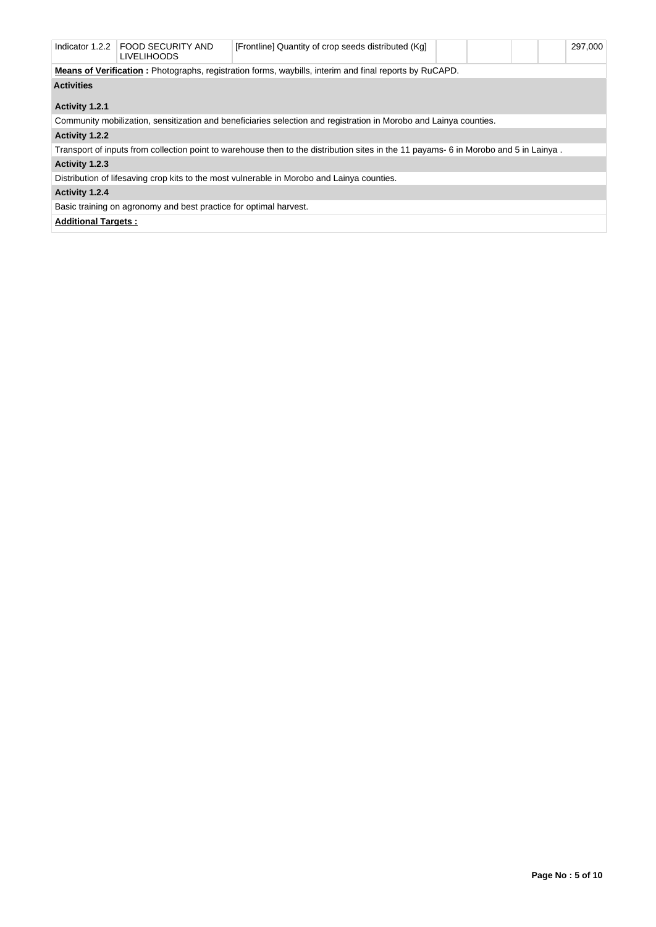| Indicator 1.2.2                                                                                                | <b>FOOD SECURITY AND</b><br><b>LIVELIHOODS</b> | [Frontline] Quantity of crop seeds distributed (Kg]                                                                                  |  |  |  |  | 297,000 |  |  |  |  |  |
|----------------------------------------------------------------------------------------------------------------|------------------------------------------------|--------------------------------------------------------------------------------------------------------------------------------------|--|--|--|--|---------|--|--|--|--|--|
| <b>Means of Verification</b> : Photographs, registration forms, waybills, interim and final reports by RuCAPD. |                                                |                                                                                                                                      |  |  |  |  |         |  |  |  |  |  |
| <b>Activities</b>                                                                                              |                                                |                                                                                                                                      |  |  |  |  |         |  |  |  |  |  |
|                                                                                                                |                                                |                                                                                                                                      |  |  |  |  |         |  |  |  |  |  |
| Activity 1.2.1                                                                                                 |                                                |                                                                                                                                      |  |  |  |  |         |  |  |  |  |  |
|                                                                                                                |                                                | Community mobilization, sensitization and beneficiaries selection and registration in Morobo and Lainya counties.                    |  |  |  |  |         |  |  |  |  |  |
| Activity 1.2.2                                                                                                 |                                                |                                                                                                                                      |  |  |  |  |         |  |  |  |  |  |
|                                                                                                                |                                                | Transport of inputs from collection point to warehouse then to the distribution sites in the 11 payams- 6 in Morobo and 5 in Lainya. |  |  |  |  |         |  |  |  |  |  |
| Activity 1.2.3                                                                                                 |                                                |                                                                                                                                      |  |  |  |  |         |  |  |  |  |  |
|                                                                                                                |                                                | Distribution of lifesaving crop kits to the most vulnerable in Morobo and Lainya counties.                                           |  |  |  |  |         |  |  |  |  |  |
| Activity 1.2.4                                                                                                 |                                                |                                                                                                                                      |  |  |  |  |         |  |  |  |  |  |
| Basic training on agronomy and best practice for optimal harvest.                                              |                                                |                                                                                                                                      |  |  |  |  |         |  |  |  |  |  |
| <b>Additional Targets:</b>                                                                                     |                                                |                                                                                                                                      |  |  |  |  |         |  |  |  |  |  |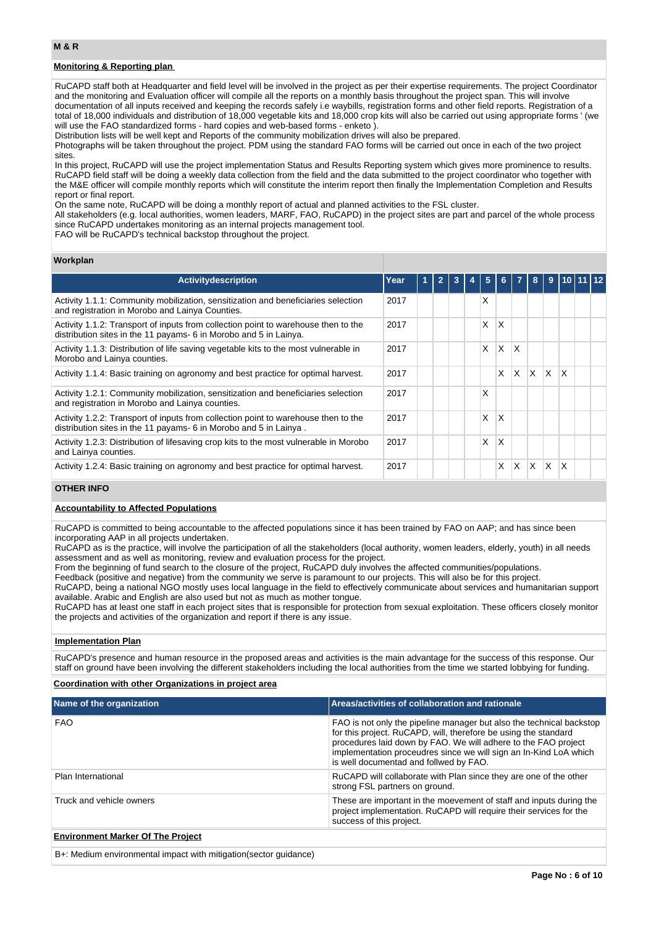## **Monitoring & Reporting plan**

RuCAPD staff both at Headquarter and field level will be involved in the project as per their expertise requirements. The project Coordinator and the monitoring and Evaluation officer will compile all the reports on a monthly basis throughout the project span. This will involve documentation of all inputs received and keeping the records safely i.e waybills, registration forms and other field reports. Registration of a total of 18,000 individuals and distribution of 18,000 vegetable kits and 18,000 crop kits will also be carried out using appropriate forms ' (we will use the FAO standardized forms - hard copies and web-based forms - enketo ).

Distribution lists will be well kept and Reports of the community mobilization drives will also be prepared.

Photographs will be taken throughout the project. PDM using the standard FAO forms will be carried out once in each of the two project sites.

In this project, RuCAPD will use the project implementation Status and Results Reporting system which gives more prominence to results. RuCAPD field staff will be doing a weekly data collection from the field and the data submitted to the project coordinator who together with the M&E officer will compile monthly reports which will constitute the interim report then finally the Implementation Completion and Results report or final report.

On the same note, RuCAPD will be doing a monthly report of actual and planned activities to the FSL cluster.

All stakeholders (e.g. local authorities, women leaders, MARF, FAO, RuCAPD) in the project sites are part and parcel of the whole process since RuCAPD undertakes monitoring as an internal projects management tool.

FAO will be RuCAPD's technical backstop throughout the project.

## **Workplan**

| <b>Activitydescription</b>                                                                                                                              | Year | 1 | $\overline{2}$ | 3 | 5 | 6. |    | 8        | $\overline{9}$ | 10 11 12     |  |
|---------------------------------------------------------------------------------------------------------------------------------------------------------|------|---|----------------|---|---|----|----|----------|----------------|--------------|--|
| Activity 1.1.1: Community mobilization, sensitization and beneficiaries selection<br>and registration in Morobo and Lainya Counties.                    | 2017 |   |                |   | Χ |    |    |          |                |              |  |
| Activity 1.1.2: Transport of inputs from collection point to warehouse then to the<br>distribution sites in the 11 payams- 6 in Morobo and 5 in Lainya. | 2017 |   |                |   | X | X  |    |          |                |              |  |
| Activity 1.1.3: Distribution of life saving vegetable kits to the most vulnerable in<br>Morobo and Lainya counties.                                     | 2017 |   |                |   | X | X  | X  |          |                |              |  |
| Activity 1.1.4: Basic training on agronomy and best practice for optimal harvest.                                                                       | 2017 |   |                |   |   | X  | X. | $\times$ | IX.            | $\mathsf{x}$ |  |
| Activity 1.2.1: Community mobilization, sensitization and beneficiaries selection<br>and registration in Morobo and Lainya counties.                    | 2017 |   |                |   | X |    |    |          |                |              |  |
| Activity 1.2.2: Transport of inputs from collection point to warehouse then to the<br>distribution sites in the 11 payams- 6 in Morobo and 5 in Lainya. | 2017 |   |                |   | Χ | X  |    |          |                |              |  |
| Activity 1.2.3: Distribution of lifesaving crop kits to the most vulnerable in Morobo<br>and Lainya counties.                                           | 2017 |   |                |   | X | X  |    |          |                |              |  |
| Activity 1.2.4: Basic training on agronomy and best practice for optimal harvest.                                                                       | 2017 |   |                |   |   | X  | X  | X        | X.             | $\mathsf{x}$ |  |

## **OTHER INFO**

## **Accountability to Affected Populations**

RuCAPD is committed to being accountable to the affected populations since it has been trained by FAO on AAP; and has since been incorporating AAP in all projects undertaken.

RuCAPD as is the practice, will involve the participation of all the stakeholders (local authority, women leaders, elderly, youth) in all needs assessment and as well as monitoring, review and evaluation process for the project.

From the beginning of fund search to the closure of the project, RuCAPD duly involves the affected communities/populations.

Feedback (positive and negative) from the community we serve is paramount to our projects. This will also be for this project. RuCAPD, being a national NGO mostly uses local language in the field to effectively communicate about services and humanitarian support available. Arabic and English are also used but not as much as mother tongue.

RuCAPD has at least one staff in each project sites that is responsible for protection from sexual exploitation. These officers closely monitor the projects and activities of the organization and report if there is any issue.

#### **Implementation Plan**

RuCAPD's presence and human resource in the proposed areas and activities is the main advantage for the success of this response. Our staff on ground have been involving the different stakeholders including the local authorities from the time we started lobbying for funding.

## **Coordination with other Organizations in project area**

| Name of the organization                 | Areas/activities of collaboration and rationale                                                                                                                                                                                                                                                                          |
|------------------------------------------|--------------------------------------------------------------------------------------------------------------------------------------------------------------------------------------------------------------------------------------------------------------------------------------------------------------------------|
| <b>FAO</b>                               | FAO is not only the pipeline manager but also the technical backstop<br>for this project. RuCAPD, will, therefore be using the standard<br>procedures laid down by FAO. We will adhere to the FAO project<br>implementation proceudres since we will sign an In-Kind LoA which<br>is well documentad and follwed by FAO. |
| Plan International                       | RuCAPD will collaborate with Plan since they are one of the other<br>strong FSL partners on ground.                                                                                                                                                                                                                      |
| Truck and vehicle owners                 | These are important in the moevement of staff and inputs during the<br>project implementation. RuCAPD will require their services for the<br>success of this project.                                                                                                                                                    |
| <b>Environment Marker Of The Project</b> |                                                                                                                                                                                                                                                                                                                          |

B+: Medium environmental impact with mitigation(sector guidance)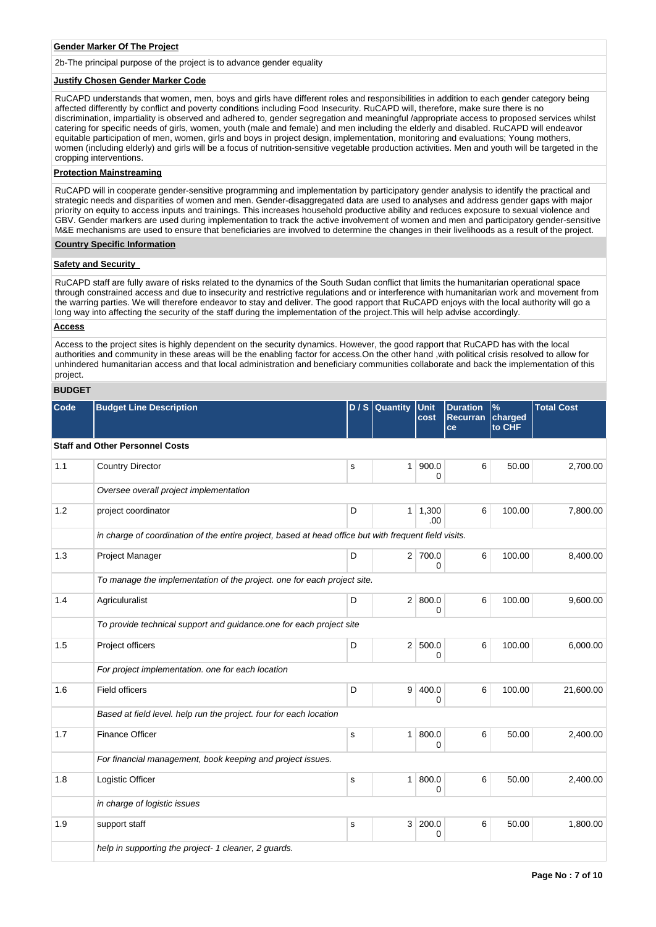#### **Gender Marker Of The Project**

2b-The principal purpose of the project is to advance gender equality

### **Justify Chosen Gender Marker Code**

RuCAPD understands that women, men, boys and girls have different roles and responsibilities in addition to each gender category being affected differently by conflict and poverty conditions including Food Insecurity. RuCAPD will, therefore, make sure there is no discrimination, impartiality is observed and adhered to, gender segregation and meaningful /appropriate access to proposed services whilst catering for specific needs of girls, women, youth (male and female) and men including the elderly and disabled. RuCAPD will endeavor equitable participation of men, women, girls and boys in project design, implementation, monitoring and evaluations; Young mothers, women (including elderly) and girls will be a focus of nutrition-sensitive vegetable production activities. Men and youth will be targeted in the cropping interventions.

### **Protection Mainstreaming**

RuCAPD will in cooperate gender-sensitive programming and implementation by participatory gender analysis to identify the practical and strategic needs and disparities of women and men. Gender-disaggregated data are used to analyses and address gender gaps with major priority on equity to access inputs and trainings. This increases household productive ability and reduces exposure to sexual violence and GBV. Gender markers are used during implementation to track the active involvement of women and men and participatory gender-sensitive M&E mechanisms are used to ensure that beneficiaries are involved to determine the changes in their livelihoods as a result of the project.

## **Country Specific Information**

### **Safety and Security**

RuCAPD staff are fully aware of risks related to the dynamics of the South Sudan conflict that limits the humanitarian operational space through constrained access and due to insecurity and restrictive regulations and or interference with humanitarian work and movement from the warring parties. We will therefore endeavor to stay and deliver. The good rapport that RuCAPD enjoys with the local authority will go a long way into affecting the security of the staff during the implementation of the project.This will help advise accordingly.

#### **Access**

Access to the project sites is highly dependent on the security dynamics. However, the good rapport that RuCAPD has with the local authorities and community in these areas will be the enabling factor for access.On the other hand ,with political crisis resolved to allow for unhindered humanitarian access and that local administration and beneficiary communities collaborate and back the implementation of this project.

## **BUDGET**

| Code | <b>Budget Line Description</b>                                                                        |   | $D/S$ Quantity | Unit<br>cost           | <b>Duration</b><br><b>Recurran</b><br>ce | $\%$<br>charged<br>to CHF | <b>Total Cost</b> |
|------|-------------------------------------------------------------------------------------------------------|---|----------------|------------------------|------------------------------------------|---------------------------|-------------------|
|      | <b>Staff and Other Personnel Costs</b>                                                                |   |                |                        |                                          |                           |                   |
| 1.1  | <b>Country Director</b>                                                                               | s | 1 <sup>1</sup> | 900.0<br>0             | 6                                        | 50.00                     | 2,700.00          |
|      | Oversee overall project implementation                                                                |   |                |                        |                                          |                           |                   |
| 1.2  | project coordinator                                                                                   | D |                | $1 \mid 1,300$<br>.00. | 6                                        | 100.00                    | 7,800.00          |
|      | in charge of coordination of the entire project, based at head office but with frequent field visits. |   |                |                        |                                          |                           |                   |
| 1.3  | Project Manager                                                                                       | D |                | 2 700.0<br>0           | 6                                        | 100.00                    | 8,400.00          |
|      | To manage the implementation of the project. one for each project site.                               |   |                |                        |                                          |                           |                   |
| 1.4  | Agriculuralist                                                                                        | D |                | 2   800.0<br>0         | 6                                        | 100.00                    | 9,600.00          |
|      | To provide technical support and guidance one for each project site                                   |   |                |                        |                                          |                           |                   |
| 1.5  | Project officers                                                                                      | D |                | 2   500.0<br>0         | 6                                        | 100.00                    | 6,000.00          |
|      | For project implementation. one for each location                                                     |   |                |                        |                                          |                           |                   |
| 1.6  | <b>Field officers</b>                                                                                 | D | 9 <sup>1</sup> | 400.0<br>0             | 6                                        | 100.00                    | 21,600.00         |
|      | Based at field level. help run the project. four for each location                                    |   |                |                        |                                          |                           |                   |
| 1.7  | <b>Finance Officer</b>                                                                                | s | 1 <sup>1</sup> | 800.0<br>0             | 6                                        | 50.00                     | 2.400.00          |
|      | For financial management, book keeping and project issues.                                            |   |                |                        |                                          |                           |                   |
| 1.8  | Logistic Officer                                                                                      | s | 1 <sup>1</sup> | 800.0<br>0             | 6                                        | 50.00                     | 2,400.00          |
|      | in charge of logistic issues                                                                          |   |                |                        |                                          |                           |                   |
| 1.9  | support staff                                                                                         | s |                | 3 200.0<br>0           | 6                                        | 50.00                     | 1,800.00          |
|      | help in supporting the project- 1 cleaner, 2 guards.                                                  |   |                |                        |                                          |                           |                   |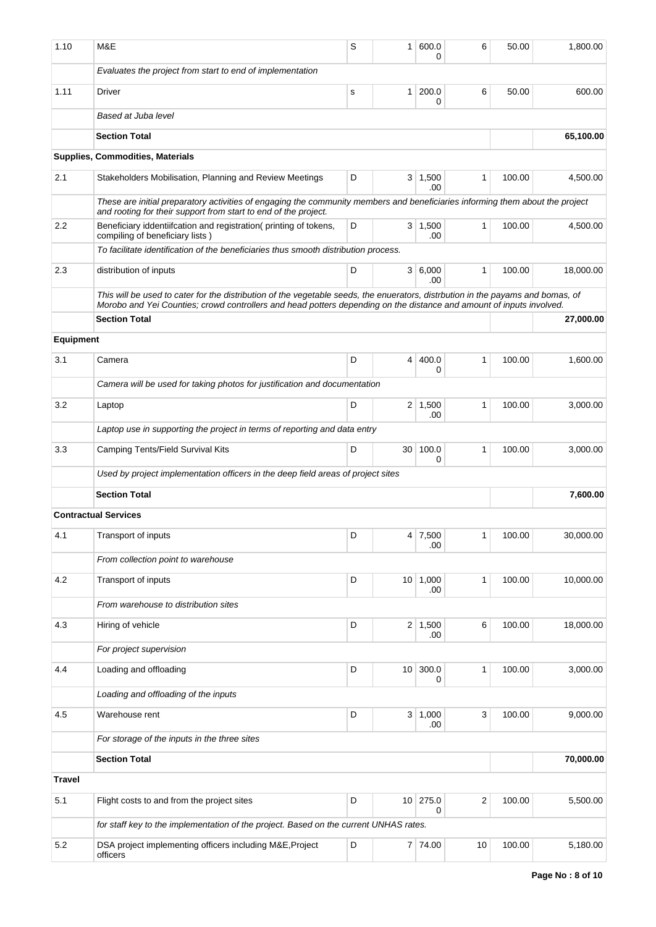| 1.10             | M&E                                                                                                                                                                                                                                                     | S | 1               | 600.0<br>0            | 6                       | 50.00  | 1,800.00  |
|------------------|---------------------------------------------------------------------------------------------------------------------------------------------------------------------------------------------------------------------------------------------------------|---|-----------------|-----------------------|-------------------------|--------|-----------|
|                  | Evaluates the project from start to end of implementation                                                                                                                                                                                               |   |                 |                       |                         |        |           |
| 1.11             | Driver                                                                                                                                                                                                                                                  | s | 1 <sup>1</sup>  | 200.0<br>0            | 6                       | 50.00  | 600.00    |
|                  | Based at Juba level                                                                                                                                                                                                                                     |   |                 |                       |                         |        |           |
|                  | <b>Section Total</b>                                                                                                                                                                                                                                    |   |                 |                       |                         |        | 65,100.00 |
|                  | <b>Supplies, Commodities, Materials</b>                                                                                                                                                                                                                 |   |                 |                       |                         |        |           |
| 2.1              | Stakeholders Mobilisation, Planning and Review Meetings                                                                                                                                                                                                 | D |                 | $3 \mid 1,500$<br>.00 | $\mathbf{1}$            | 100.00 | 4,500.00  |
|                  | These are initial preparatory activities of engaging the community members and beneficiaries informing them about the project<br>and rooting for their support from start to end of the project.                                                        |   |                 |                       |                         |        |           |
| 2.2              | Beneficiary iddentiifcation and registration(printing of tokens,<br>compiling of beneficiary lists)                                                                                                                                                     | D |                 | $3 \mid 1,500$<br>.00 | 1                       | 100.00 | 4,500.00  |
|                  | To facilitate identification of the beneficiaries thus smooth distribution process.                                                                                                                                                                     |   |                 |                       |                         |        |           |
| 2.3              | distribution of inputs                                                                                                                                                                                                                                  | D |                 | 3   6,000<br>.00      | $\mathbf{1}$            | 100.00 | 18,000.00 |
|                  | This will be used to cater for the distribution of the vegetable seeds, the enuerators, distrbution in the payams and bomas, of<br>Morobo and Yei Counties; crowd controllers and head potters depending on the distance and amount of inputs involved. |   |                 |                       |                         |        |           |
|                  | <b>Section Total</b>                                                                                                                                                                                                                                    |   |                 |                       |                         |        | 27,000.00 |
| <b>Equipment</b> |                                                                                                                                                                                                                                                         |   |                 |                       |                         |        |           |
| 3.1              | Camera                                                                                                                                                                                                                                                  | D | 4               | 400.0<br>0            | 1                       | 100.00 | 1,600.00  |
|                  | Camera will be used for taking photos for justification and documentation                                                                                                                                                                               |   |                 |                       |                         |        |           |
| 3.2              | Laptop                                                                                                                                                                                                                                                  | D |                 | $2 \mid 1,500$<br>.00 | 1                       | 100.00 | 3,000.00  |
|                  | Laptop use in supporting the project in terms of reporting and data entry                                                                                                                                                                               |   |                 |                       |                         |        |           |
| 3.3              | Camping Tents/Field Survival Kits                                                                                                                                                                                                                       | D | 30 <sup>1</sup> | 100.0<br>0            | 1                       | 100.00 | 3,000.00  |
|                  | Used by project implementation officers in the deep field areas of project sites                                                                                                                                                                        |   |                 |                       |                         |        |           |
|                  | <b>Section Total</b>                                                                                                                                                                                                                                    |   |                 |                       |                         |        | 7,600.00  |
|                  | <b>Contractual Services</b>                                                                                                                                                                                                                             |   |                 |                       |                         |        |           |
| 4.1              | Transport of inputs                                                                                                                                                                                                                                     | D |                 | 4 7,500<br>.00        |                         | 100.00 | 30,000.00 |
|                  | From collection point to warehouse                                                                                                                                                                                                                      |   |                 |                       |                         |        |           |
| 4.2              | Transport of inputs                                                                                                                                                                                                                                     | D |                 | 10 1,000<br>.00       | $\mathbf{1}$            | 100.00 | 10,000.00 |
|                  | From warehouse to distribution sites                                                                                                                                                                                                                    |   |                 |                       |                         |        |           |
| 4.3              | Hiring of vehicle                                                                                                                                                                                                                                       | D | 2 <sup>2</sup>  | 1,500<br>.00          | 6                       | 100.00 | 18,000.00 |
|                  | For project supervision                                                                                                                                                                                                                                 |   |                 |                       |                         |        |           |
| 4.4              | Loading and offloading                                                                                                                                                                                                                                  | D | 10 <sup>1</sup> | 300.0<br>0            | 1                       | 100.00 | 3,000.00  |
|                  | Loading and offloading of the inputs                                                                                                                                                                                                                    |   |                 |                       |                         |        |           |
| 4.5              | Warehouse rent                                                                                                                                                                                                                                          | D |                 | $3 \mid 1,000$<br>.00 | 3                       | 100.00 | 9,000.00  |
|                  | For storage of the inputs in the three sites                                                                                                                                                                                                            |   |                 |                       |                         |        |           |
|                  | <b>Section Total</b>                                                                                                                                                                                                                                    |   |                 |                       |                         |        | 70,000.00 |
| <b>Travel</b>    |                                                                                                                                                                                                                                                         |   |                 |                       |                         |        |           |
| 5.1              | Flight costs to and from the project sites                                                                                                                                                                                                              | D | 10 <sup>1</sup> | 275.0<br>0            | $\overline{\mathbf{c}}$ | 100.00 | 5,500.00  |
|                  | for staff key to the implementation of the project. Based on the current UNHAS rates.                                                                                                                                                                   |   |                 |                       |                         |        |           |
| 5.2              | DSA project implementing officers including M&E, Project<br>officers                                                                                                                                                                                    | D |                 | 7 74.00               | 10                      | 100.00 | 5,180.00  |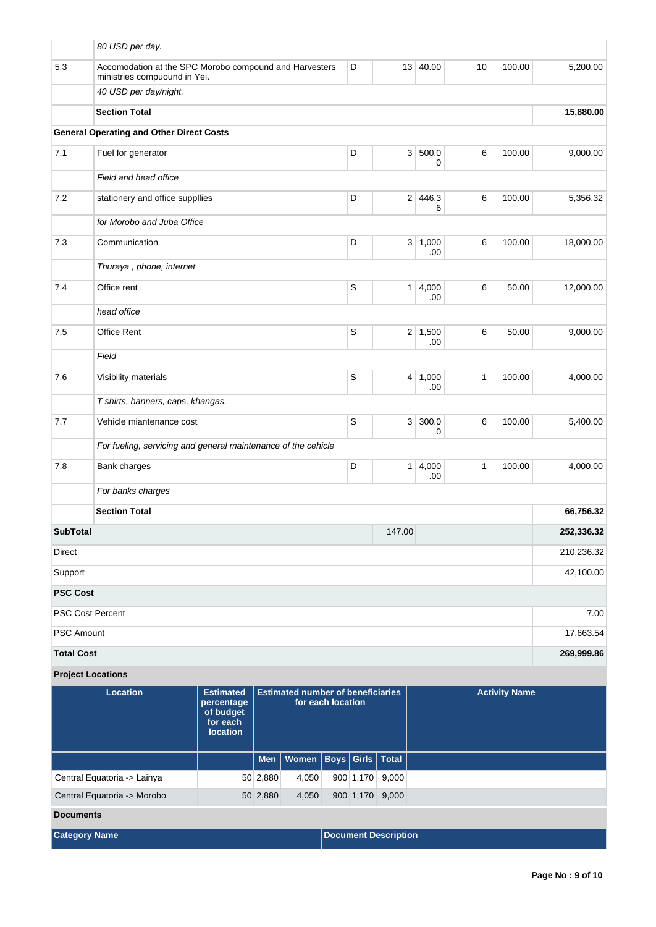|                          | 80 USD per day.                                                                        |                                                                     |                                                               |           |                |                       |              |                      |            |
|--------------------------|----------------------------------------------------------------------------------------|---------------------------------------------------------------------|---------------------------------------------------------------|-----------|----------------|-----------------------|--------------|----------------------|------------|
| $5.3\,$                  | Accomodation at the SPC Morobo compound and Harvesters<br>ministries compuound in Yei. |                                                                     |                                                               | D         | 13             | 40.00                 | 10           | 100.00               | 5,200.00   |
|                          | 40 USD per day/night.                                                                  |                                                                     |                                                               |           |                |                       |              |                      |            |
|                          | <b>Section Total</b>                                                                   |                                                                     |                                                               |           |                |                       |              |                      | 15,880.00  |
|                          | <b>General Operating and Other Direct Costs</b>                                        |                                                                     |                                                               |           |                |                       |              |                      |            |
| 7.1                      | Fuel for generator                                                                     |                                                                     |                                                               | D         | 3 <sup>1</sup> | 500.0<br>0            | 6            | 100.00               | 9,000.00   |
|                          | Field and head office                                                                  |                                                                     |                                                               |           |                |                       |              |                      |            |
| 7.2                      | stationery and office suppllies                                                        |                                                                     |                                                               | D         | 2 <sup>1</sup> | 446.3<br>6            | 6            | 100.00               | 5,356.32   |
|                          | for Morobo and Juba Office                                                             |                                                                     |                                                               |           |                |                       |              |                      |            |
| 7.3                      | Communication                                                                          |                                                                     |                                                               | D         | 3 <sup>2</sup> | 1,000<br>.00          | 6            | 100.00               | 18,000.00  |
|                          | Thuraya, phone, internet                                                               |                                                                     |                                                               |           |                |                       |              |                      |            |
| 7.4                      | Office rent                                                                            |                                                                     |                                                               | S         | 1              | 4,000<br>.00          | 6            | 50.00                | 12,000.00  |
|                          | head office                                                                            |                                                                     |                                                               |           |                |                       |              |                      |            |
| $7.5\,$                  | Office Rent                                                                            |                                                                     |                                                               | S         |                | $2 \mid 1,500$<br>.00 | 6            | 50.00                | 9,000.00   |
|                          | Field                                                                                  |                                                                     |                                                               |           |                |                       |              |                      |            |
| 7.6                      | Visibility materials                                                                   |                                                                     |                                                               | S         |                | 4 1,000<br>.00        | $\mathbf{1}$ | 100.00               | 4,000.00   |
|                          | T shirts, banners, caps, khangas.                                                      |                                                                     |                                                               |           |                |                       |              |                      |            |
| 7.7                      | Vehicle miantenance cost                                                               |                                                                     |                                                               | S         | 3 <sup>1</sup> | 300.0<br>0            | 6            | 100.00               | 5,400.00   |
|                          | For fueling, servicing and general maintenance of the cehicle                          |                                                                     |                                                               |           |                |                       |              |                      |            |
| 7.8                      | Bank charges                                                                           |                                                                     |                                                               | D         | 1              | 4,000<br>.00          | $\mathbf{1}$ | 100.00               | 4,000.00   |
|                          | For banks charges                                                                      |                                                                     |                                                               |           |                |                       |              |                      |            |
|                          | <b>Section Total</b>                                                                   |                                                                     |                                                               | 66,756.32 |                |                       |              |                      |            |
| <b>SubTotal</b>          |                                                                                        |                                                                     |                                                               |           | 147.00         |                       |              |                      | 252,336.32 |
| Direct                   |                                                                                        | 210,236.32                                                          |                                                               |           |                |                       |              |                      |            |
| Support                  |                                                                                        |                                                                     |                                                               |           |                |                       |              |                      | 42,100.00  |
| <b>PSC Cost</b>          |                                                                                        |                                                                     |                                                               |           |                |                       |              |                      |            |
| <b>PSC Cost Percent</b>  |                                                                                        |                                                                     |                                                               |           |                |                       |              |                      | 7.00       |
| <b>PSC Amount</b>        |                                                                                        |                                                                     |                                                               |           |                |                       |              |                      | 17,663.54  |
| <b>Total Cost</b>        |                                                                                        |                                                                     |                                                               |           |                |                       |              |                      | 269,999.86 |
| <b>Project Locations</b> |                                                                                        |                                                                     |                                                               |           |                |                       |              |                      |            |
|                          | Location                                                                               | <b>Estimated</b><br>percentage<br>of budget<br>for each<br>location | <b>Estimated number of beneficiaries</b><br>for each location |           |                |                       |              | <b>Activity Name</b> |            |

|                             |  |          | Men   Women   Boys   Girls   Total |                             |  |                 |  |  |
|-----------------------------|--|----------|------------------------------------|-----------------------------|--|-----------------|--|--|
| Central Equatoria -> Lainya |  | 50 2,880 | 4,050                              |                             |  | 900 1,170 9,000 |  |  |
| Central Equatoria -> Morobo |  | 50 2,880 | 4,050                              |                             |  | 900 1,170 9,000 |  |  |
| <b>Documents</b>            |  |          |                                    |                             |  |                 |  |  |
| <b>Category Name</b>        |  |          |                                    | <b>Document Description</b> |  |                 |  |  |